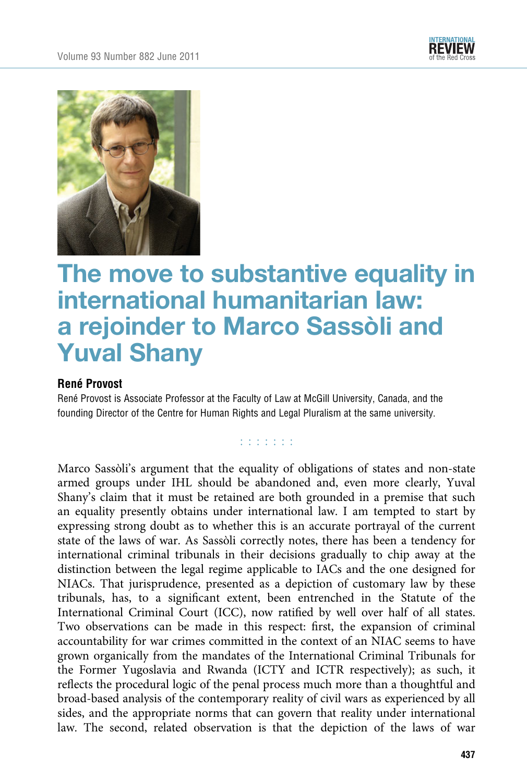



## The move to substantive equality in international humanitarian law: a rejoinder to Marco Sassòli and Yuval Shany

## **René Provost**

René Provost is Associate Professor at the Faculty of Law at McGill University, Canada, and the founding Director of the Centre for Human Rights and Legal Pluralism at the same university.

## **Editorial**

Marco Sassòli's argument that the equality of obligations of states and non-state armed groups under IHL should be abandoned and, even more clearly, Yuval Shany's claim that it must be retained are both grounded in a premise that such an equality presently obtains under international law. I am tempted to start by expressing strong doubt as to whether this is an accurate portrayal of the current state of the laws of war. As Sassòli correctly notes, there has been a tendency for international criminal tribunals in their decisions gradually to chip away at the distinction between the legal regime applicable to IACs and the one designed for NIACs. That jurisprudence, presented as a depiction of customary law by these tribunals, has, to a significant extent, been entrenched in the Statute of the International Criminal Court (ICC), now ratified by well over half of all states. Two observations can be made in this respect: first, the expansion of criminal accountability for war crimes committed in the context of an NIAC seems to have grown organically from the mandates of the International Criminal Tribunals for the Former Yugoslavia and Rwanda (ICTY and ICTR respectively); as such, it reflects the procedural logic of the penal process much more than a thoughtful and broad-based analysis of the contemporary reality of civil wars as experienced by all sides, and the appropriate norms that can govern that reality under international law. The second, related observation is that the depiction of the laws of war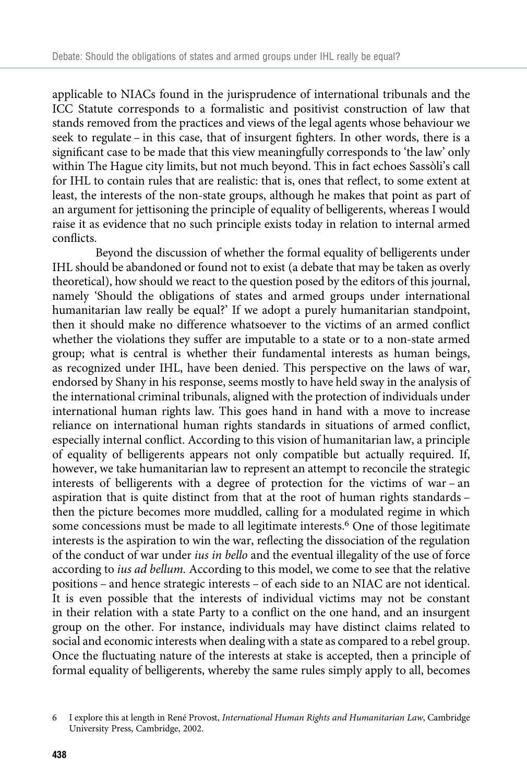applicable to NIACs found in the jurisprudence of international tribunals and the ICC Statute corresponds to a formalistic and positivist construction of law that stands removed from the practices and views of the legal agents whose behaviour we seek to regulate – in this case, that of insurgent fighters. In other words, there is a significant case to be made that this view meaningfully corresponds to 'the law' only within The Hague city limits, but not much beyond. This in fact echoes Sassòli's call for IHL to contain rules that are realistic: that is, ones that reflect, to some extent at least, the interests of the non-state groups, although he makes that point as part of an argument for jettisoning the principle of equality of belligerents, whereas I would raise it as evidence that no such principle exists today in relation to internal armed conflicts.

Beyond the discussion of whether the formal equality of belligerents under IHL should be abandoned or found not to exist (a debate that may be taken as overly theoretical), how should we react to the question posed by the editors of this journal, namely 'Should the obligations of states and armed groups under international humanitarian law really be equal?' If we adopt a purely humanitarian standpoint, then it should make no difference whatsoever to the victims of an armed conflict whether the violations they suffer are imputable to a state or to a non-state armed group; what is central is whether their fundamental interests as human beings, as recognized under IHL, have been denied. This perspective on the laws of war, endorsed by Shany in his response, seems mostly to have held sway in the analysis of the international criminal tribunals, aligned with the protection of individuals under international human rights law. This goes hand in hand with a move to increase reliance on international human rights standards in situations of armed conflict, especially internal conflict. According to this vision of humanitarian law, a principle of equality of belligerents appears not only compatible but actually required. If, however, we take humanitarian law to represent an attempt to reconcile the strategic interests of belligerents with a degree of protection for the victims of war – an aspiration that is quite distinct from that at the root of human rights standards – then the picture becomes more muddled, calling for a modulated regime in which some concessions must be made to all legitimate interests.<sup>6</sup> One of those legitimate interests is the aspiration to win the war, reflecting the dissociation of the regulation of the conduct of war under ius in bello and the eventual illegality of the use of force according to ius ad bellum. According to this model, we come to see that the relative positions – and hence strategic interests – of each side to an NIAC are not identical. It is even possible that the interests of individual victims may not be constant in their relation with a state Party to a conflict on the one hand, and an insurgent group on the other. For instance, individuals may have distinct claims related to social and economic interests when dealing with a state as compared to a rebel group. Once the fluctuating nature of the interests at stake is accepted, then a principle of formal equality of belligerents, whereby the same rules simply apply to all, becomes

<sup>6</sup> I explore this at length in René Provost, International Human Rights and Humanitarian Law, Cambridge University Press, Cambridge, 2002.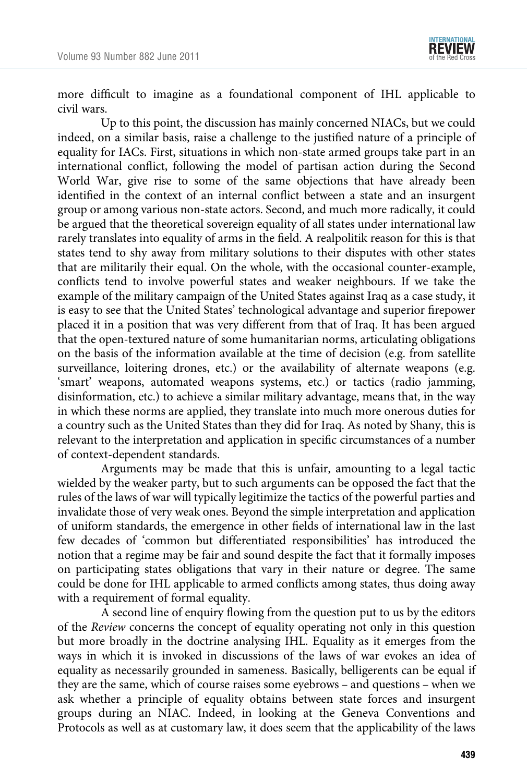

more difficult to imagine as a foundational component of IHL applicable to civil wars.

Up to this point, the discussion has mainly concerned NIACs, but we could indeed, on a similar basis, raise a challenge to the justified nature of a principle of equality for IACs. First, situations in which non-state armed groups take part in an international conflict, following the model of partisan action during the Second World War, give rise to some of the same objections that have already been identified in the context of an internal conflict between a state and an insurgent group or among various non-state actors. Second, and much more radically, it could be argued that the theoretical sovereign equality of all states under international law rarely translates into equality of arms in the field. A realpolitik reason for this is that states tend to shy away from military solutions to their disputes with other states that are militarily their equal. On the whole, with the occasional counter-example, conflicts tend to involve powerful states and weaker neighbours. If we take the example of the military campaign of the United States against Iraq as a case study, it is easy to see that the United States' technological advantage and superior firepower placed it in a position that was very different from that of Iraq. It has been argued that the open-textured nature of some humanitarian norms, articulating obligations on the basis of the information available at the time of decision (e.g. from satellite surveillance, loitering drones, etc.) or the availability of alternate weapons (e.g. 'smart' weapons, automated weapons systems, etc.) or tactics (radio jamming, disinformation, etc.) to achieve a similar military advantage, means that, in the way in which these norms are applied, they translate into much more onerous duties for a country such as the United States than they did for Iraq. As noted by Shany, this is relevant to the interpretation and application in specific circumstances of a number of context-dependent standards.

Arguments may be made that this is unfair, amounting to a legal tactic wielded by the weaker party, but to such arguments can be opposed the fact that the rules of the laws of war will typically legitimize the tactics of the powerful parties and invalidate those of very weak ones. Beyond the simple interpretation and application of uniform standards, the emergence in other fields of international law in the last few decades of 'common but differentiated responsibilities' has introduced the notion that a regime may be fair and sound despite the fact that it formally imposes on participating states obligations that vary in their nature or degree. The same could be done for IHL applicable to armed conflicts among states, thus doing away with a requirement of formal equality.

A second line of enquiry flowing from the question put to us by the editors of the Review concerns the concept of equality operating not only in this question but more broadly in the doctrine analysing IHL. Equality as it emerges from the ways in which it is invoked in discussions of the laws of war evokes an idea of equality as necessarily grounded in sameness. Basically, belligerents can be equal if they are the same, which of course raises some eyebrows – and questions – when we ask whether a principle of equality obtains between state forces and insurgent groups during an NIAC. Indeed, in looking at the Geneva Conventions and Protocols as well as at customary law, it does seem that the applicability of the laws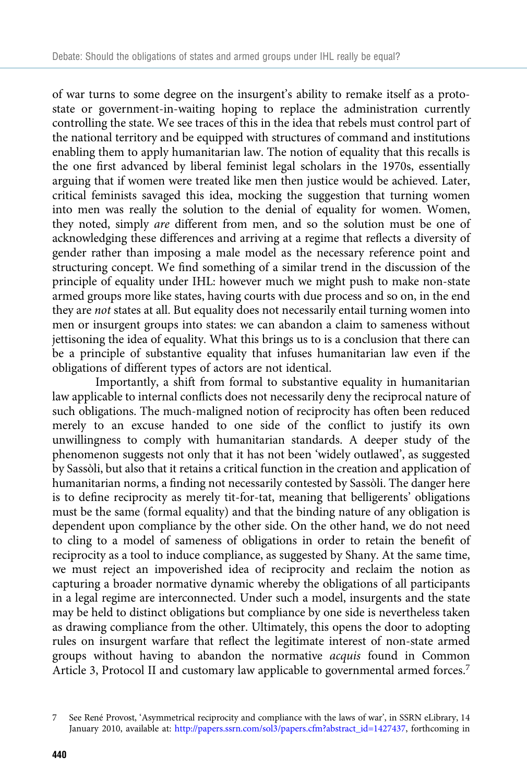of war turns to some degree on the insurgent's ability to remake itself as a protostate or government-in-waiting hoping to replace the administration currently controlling the state. We see traces of this in the idea that rebels must control part of the national territory and be equipped with structures of command and institutions enabling them to apply humanitarian law. The notion of equality that this recalls is the one first advanced by liberal feminist legal scholars in the 1970s, essentially arguing that if women were treated like men then justice would be achieved. Later, critical feminists savaged this idea, mocking the suggestion that turning women into men was really the solution to the denial of equality for women. Women, they noted, simply are different from men, and so the solution must be one of acknowledging these differences and arriving at a regime that reflects a diversity of gender rather than imposing a male model as the necessary reference point and structuring concept. We find something of a similar trend in the discussion of the principle of equality under IHL: however much we might push to make non-state armed groups more like states, having courts with due process and so on, in the end they are not states at all. But equality does not necessarily entail turning women into men or insurgent groups into states: we can abandon a claim to sameness without jettisoning the idea of equality. What this brings us to is a conclusion that there can be a principle of substantive equality that infuses humanitarian law even if the obligations of different types of actors are not identical.

Importantly, a shift from formal to substantive equality in humanitarian law applicable to internal conflicts does not necessarily deny the reciprocal nature of such obligations. The much-maligned notion of reciprocity has often been reduced merely to an excuse handed to one side of the conflict to justify its own unwillingness to comply with humanitarian standards. A deeper study of the phenomenon suggests not only that it has not been 'widely outlawed', as suggested by Sassòli, but also that it retains a critical function in the creation and application of humanitarian norms, a finding not necessarily contested by Sassòli. The danger here is to define reciprocity as merely tit-for-tat, meaning that belligerents' obligations must be the same (formal equality) and that the binding nature of any obligation is dependent upon compliance by the other side. On the other hand, we do not need to cling to a model of sameness of obligations in order to retain the benefit of reciprocity as a tool to induce compliance, as suggested by Shany. At the same time, we must reject an impoverished idea of reciprocity and reclaim the notion as capturing a broader normative dynamic whereby the obligations of all participants in a legal regime are interconnected. Under such a model, insurgents and the state may be held to distinct obligations but compliance by one side is nevertheless taken as drawing compliance from the other. Ultimately, this opens the door to adopting rules on insurgent warfare that reflect the legitimate interest of non-state armed groups without having to abandon the normative *acquis* found in Common Article 3, Protocol II and customary law applicable to governmental armed forces.<sup>7</sup>

<sup>7</sup> See René Provost, 'Asymmetrical reciprocity and compliance with the laws of war', in SSRN eLibrary, 14 January 2010, available at: [http://papers.ssrn.com/sol3/papers.cfm?abstract\\_id=1427437,](http://papers.ssrn.com/sol3/papers.cfm?abstract_id=1427437) forthcoming in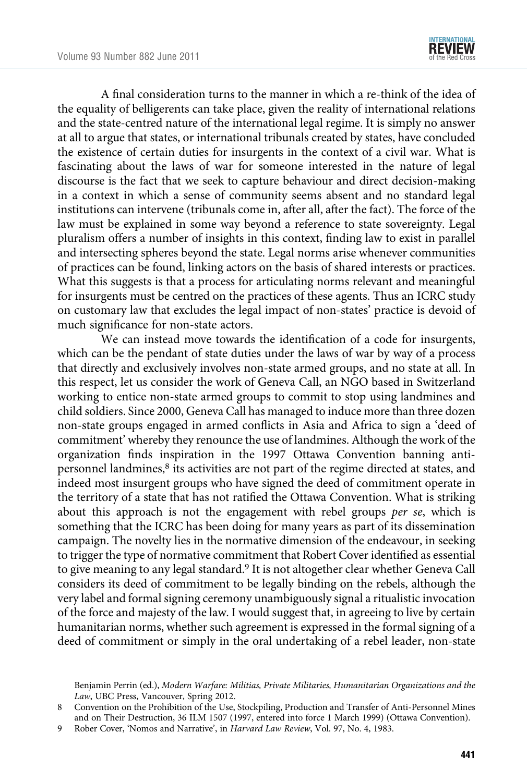

A final consideration turns to the manner in which a re-think of the idea of the equality of belligerents can take place, given the reality of international relations and the state-centred nature of the international legal regime. It is simply no answer at all to argue that states, or international tribunals created by states, have concluded the existence of certain duties for insurgents in the context of a civil war. What is fascinating about the laws of war for someone interested in the nature of legal discourse is the fact that we seek to capture behaviour and direct decision-making in a context in which a sense of community seems absent and no standard legal institutions can intervene (tribunals come in, after all, after the fact). The force of the law must be explained in some way beyond a reference to state sovereignty. Legal pluralism offers a number of insights in this context, finding law to exist in parallel and intersecting spheres beyond the state. Legal norms arise whenever communities of practices can be found, linking actors on the basis of shared interests or practices. What this suggests is that a process for articulating norms relevant and meaningful for insurgents must be centred on the practices of these agents. Thus an ICRC study on customary law that excludes the legal impact of non-states' practice is devoid of much significance for non-state actors.

We can instead move towards the identification of a code for insurgents, which can be the pendant of state duties under the laws of war by way of a process that directly and exclusively involves non-state armed groups, and no state at all. In this respect, let us consider the work of Geneva Call, an NGO based in Switzerland working to entice non-state armed groups to commit to stop using landmines and child soldiers. Since 2000, Geneva Call has managed to induce more than three dozen non-state groups engaged in armed conflicts in Asia and Africa to sign a 'deed of commitment' whereby they renounce the use of landmines. Although the work of the organization finds inspiration in the 1997 Ottawa Convention banning antipersonnel landmines,<sup>8</sup> its activities are not part of the regime directed at states, and indeed most insurgent groups who have signed the deed of commitment operate in the territory of a state that has not ratified the Ottawa Convention. What is striking about this approach is not the engagement with rebel groups per se, which is something that the ICRC has been doing for many years as part of its dissemination campaign. The novelty lies in the normative dimension of the endeavour, in seeking to trigger the type of normative commitment that Robert Cover identified as essential to give meaning to any legal standard.9 It is not altogether clear whether Geneva Call considers its deed of commitment to be legally binding on the rebels, although the very label and formal signing ceremony unambiguously signal a ritualistic invocation of the force and majesty of the law. I would suggest that, in agreeing to live by certain humanitarian norms, whether such agreement is expressed in the formal signing of a deed of commitment or simply in the oral undertaking of a rebel leader, non-state

Benjamin Perrin (ed.), Modern Warfare: Militias, Private Militaries, Humanitarian Organizations and the Law, UBC Press, Vancouver, Spring 2012.

<sup>8</sup> Convention on the Prohibition of the Use, Stockpiling, Production and Transfer of Anti-Personnel Mines and on Their Destruction, 36 ILM 1507 (1997, entered into force 1 March 1999) (Ottawa Convention).

<sup>9</sup> Rober Cover, 'Nomos and Narrative', in Harvard Law Review, Vol. 97, No. 4, 1983.